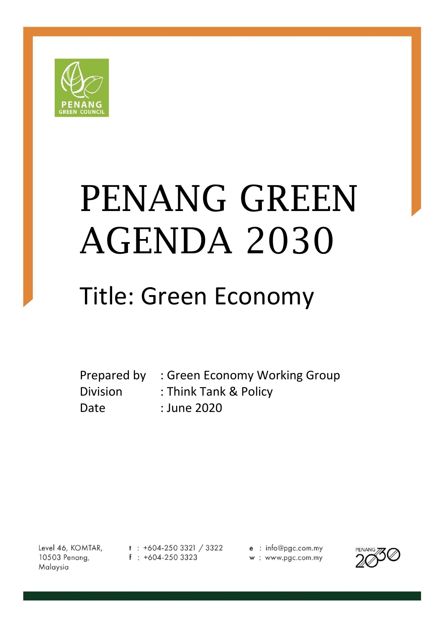

# PENANG GREEN AGENDA 2030

# Title: Green Economy

Prepared by : Green Economy Working Group Division : Think Tank & Policy Date : June 2020

Level 46, KOMTAR, 10503 Penang, Malaysia

 $t : +604-2503321 / 3322$  $f : +604-2503323$ 

e : info@pgc.com.my w: www.pgc.com.my

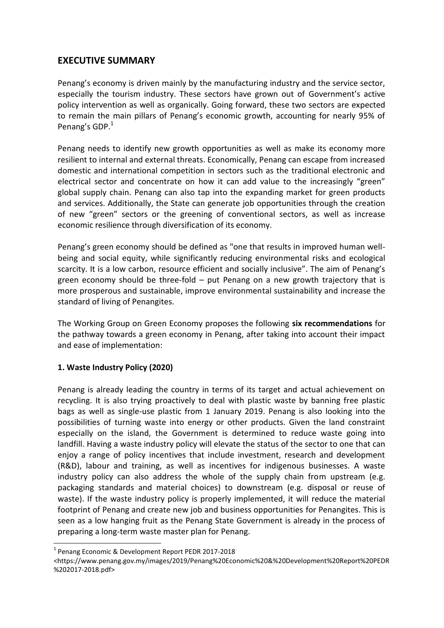### **EXECUTIVE SUMMARY**

Penang's economy is driven mainly by the manufacturing industry and the service sector, especially the tourism industry. These sectors have grown out of Government's active policy intervention as well as organically. Going forward, these two sectors are expected to remain the main pillars of Penang's economic growth, accounting for nearly 95% of Penang's GDP.<sup>1</sup>

Penang needs to identify new growth opportunities as well as make its economy more resilient to internal and external threats. Economically, Penang can escape from increased domestic and international competition in sectors such as the traditional electronic and electrical sector and concentrate on how it can add value to the increasingly "green" global supply chain. Penang can also tap into the expanding market for green products and services. Additionally, the State can generate job opportunities through the creation of new "green" sectors or the greening of conventional sectors, as well as increase economic resilience through diversification of its economy.

Penang's green economy should be defined as "one that results in improved human wellbeing and social equity, while significantly reducing environmental risks and ecological scarcity. It is a low carbon, resource efficient and socially inclusive". The aim of Penang's green economy should be three-fold – put Penang on a new growth trajectory that is more prosperous and sustainable, improve environmental sustainability and increase the standard of living of Penangites.

The Working Group on Green Economy proposes the following **six recommendations** for the pathway towards a green economy in Penang, after taking into account their impact and ease of implementation:

#### **1. Waste Industry Policy (2020)**

Penang is already leading the country in terms of its target and actual achievement on recycling. It is also trying proactively to deal with plastic waste by banning free plastic bags as well as single-use plastic from 1 January 2019. Penang is also looking into the possibilities of turning waste into energy or other products. Given the land constraint especially on the island, the Government is determined to reduce waste going into landfill. Having a waste industry policy will elevate the status of the sector to one that can enjoy a range of policy incentives that include investment, research and development (R&D), labour and training, as well as incentives for indigenous businesses. A waste industry policy can also address the whole of the supply chain from upstream (e.g. packaging standards and material choices) to downstream (e.g. disposal or reuse of waste). If the waste industry policy is properly implemented, it will reduce the material footprint of Penang and create new job and business opportunities for Penangites. This is seen as a low hanging fruit as the Penang State Government is already in the process of preparing a long-term waste master plan for Penang.

1

<sup>&</sup>lt;sup>1</sup> Penang Economic & Development Report PEDR 2017-2018

<sup>&</sup>lt;https://www.penang.gov.my/images/2019/Penang%20Economic%20&%20Development%20Report%20PEDR %202017-2018.pdf>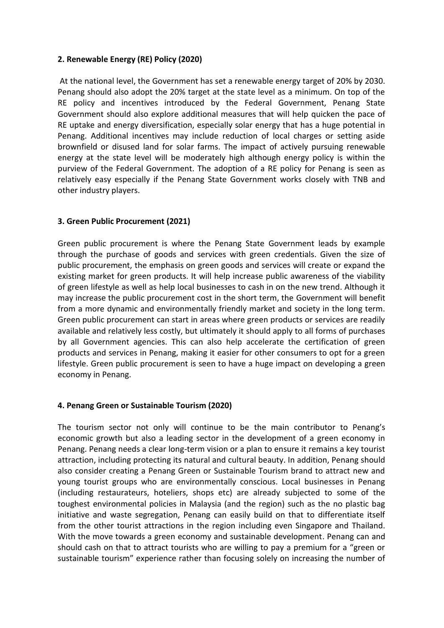#### **2. Renewable Energy (RE) Policy (2020)**

At the national level, the Government has set a renewable energy target of 20% by 2030. Penang should also adopt the 20% target at the state level as a minimum. On top of the RE policy and incentives introduced by the Federal Government, Penang State Government should also explore additional measures that will help quicken the pace of RE uptake and energy diversification, especially solar energy that has a huge potential in Penang. Additional incentives may include reduction of local charges or setting aside brownfield or disused land for solar farms. The impact of actively pursuing renewable energy at the state level will be moderately high although energy policy is within the purview of the Federal Government. The adoption of a RE policy for Penang is seen as relatively easy especially if the Penang State Government works closely with TNB and other industry players.

#### **3. Green Public Procurement (2021)**

Green public procurement is where the Penang State Government leads by example through the purchase of goods and services with green credentials. Given the size of public procurement, the emphasis on green goods and services will create or expand the existing market for green products. It will help increase public awareness of the viability of green lifestyle as well as help local businesses to cash in on the new trend. Although it may increase the public procurement cost in the short term, the Government will benefit from a more dynamic and environmentally friendly market and society in the long term. Green public procurement can start in areas where green products or services are readily available and relatively less costly, but ultimately it should apply to all forms of purchases by all Government agencies. This can also help accelerate the certification of green products and services in Penang, making it easier for other consumers to opt for a green lifestyle. Green public procurement is seen to have a huge impact on developing a green economy in Penang.

#### **4. Penang Green or Sustainable Tourism (2020)**

The tourism sector not only will continue to be the main contributor to Penang's economic growth but also a leading sector in the development of a green economy in Penang. Penang needs a clear long-term vision or a plan to ensure it remains a key tourist attraction, including protecting its natural and cultural beauty. In addition, Penang should also consider creating a Penang Green or Sustainable Tourism brand to attract new and young tourist groups who are environmentally conscious. Local businesses in Penang (including restaurateurs, hoteliers, shops etc) are already subjected to some of the toughest environmental policies in Malaysia (and the region) such as the no plastic bag initiative and waste segregation, Penang can easily build on that to differentiate itself from the other tourist attractions in the region including even Singapore and Thailand. With the move towards a green economy and sustainable development. Penang can and should cash on that to attract tourists who are willing to pay a premium for a "green or sustainable tourism" experience rather than focusing solely on increasing the number of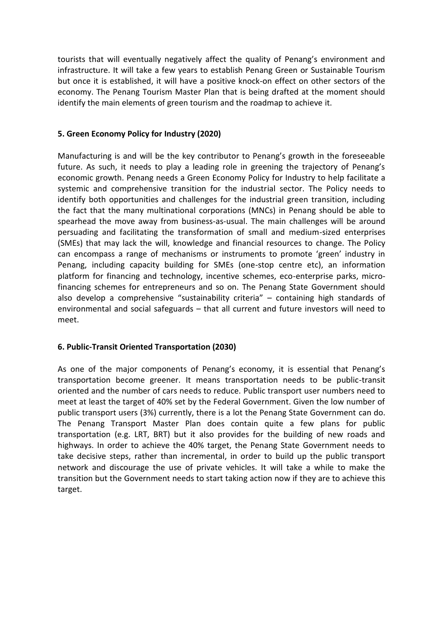tourists that will eventually negatively affect the quality of Penang's environment and infrastructure. It will take a few years to establish Penang Green or Sustainable Tourism but once it is established, it will have a positive knock-on effect on other sectors of the economy. The Penang Tourism Master Plan that is being drafted at the moment should identify the main elements of green tourism and the roadmap to achieve it.

#### **5. Green Economy Policy for Industry (2020)**

Manufacturing is and will be the key contributor to Penang's growth in the foreseeable future. As such, it needs to play a leading role in greening the trajectory of Penang's economic growth. Penang needs a Green Economy Policy for Industry to help facilitate a systemic and comprehensive transition for the industrial sector. The Policy needs to identify both opportunities and challenges for the industrial green transition, including the fact that the many multinational corporations (MNCs) in Penang should be able to spearhead the move away from business-as-usual. The main challenges will be around persuading and facilitating the transformation of small and medium-sized enterprises (SMEs) that may lack the will, knowledge and financial resources to change. The Policy can encompass a range of mechanisms or instruments to promote 'green' industry in Penang, including capacity building for SMEs (one-stop centre etc), an information platform for financing and technology, incentive schemes, eco-enterprise parks, microfinancing schemes for entrepreneurs and so on. The Penang State Government should also develop a comprehensive "sustainability criteria" – containing high standards of environmental and social safeguards – that all current and future investors will need to meet.

#### **6. Public-Transit Oriented Transportation (2030)**

As one of the major components of Penang's economy, it is essential that Penang's transportation become greener. It means transportation needs to be public-transit oriented and the number of cars needs to reduce. Public transport user numbers need to meet at least the target of 40% set by the Federal Government. Given the low number of public transport users (3%) currently, there is a lot the Penang State Government can do. The Penang Transport Master Plan does contain quite a few plans for public transportation (e.g. LRT, BRT) but it also provides for the building of new roads and highways. In order to achieve the 40% target, the Penang State Government needs to take decisive steps, rather than incremental, in order to build up the public transport network and discourage the use of private vehicles. It will take a while to make the transition but the Government needs to start taking action now if they are to achieve this target.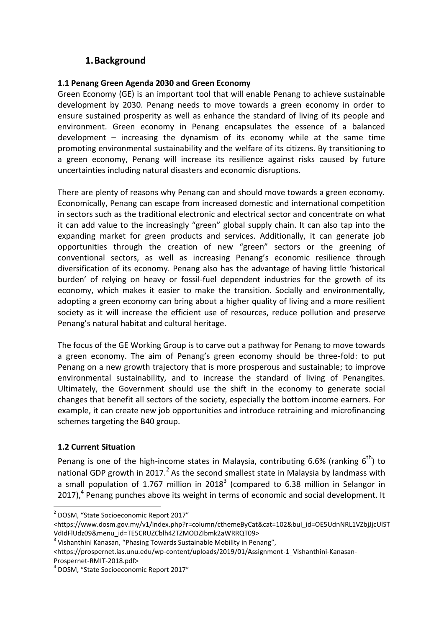## **1.Background**

#### **1.1 Penang Green Agenda 2030 and Green Economy**

Green Economy (GE) is an important tool that will enable Penang to achieve sustainable development by 2030. Penang needs to move towards a green economy in order to ensure sustained prosperity as well as enhance the standard of living of its people and environment. Green economy in Penang encapsulates the essence of a balanced development – increasing the dynamism of its economy while at the same time promoting environmental sustainability and the welfare of its citizens. By transitioning to a green economy, Penang will increase its resilience against risks caused by future uncertainties including natural disasters and economic disruptions.

There are plenty of reasons why Penang can and should move towards a green economy. Economically, Penang can escape from increased domestic and international competition in sectors such as the traditional electronic and electrical sector and concentrate on what it can add value to the increasingly "green" global supply chain. It can also tap into the expanding market for green products and services. Additionally, it can generate job opportunities through the creation of new "green" sectors or the greening of conventional sectors, as well as increasing Penang's economic resilience through diversification of its economy. Penang also has the advantage of having little 'historical burden' of relying on heavy or fossil-fuel dependent industries for the growth of its economy, which makes it easier to make the transition. Socially and environmentally, adopting a green economy can bring about a higher quality of living and a more resilient society as it will increase the efficient use of resources, reduce pollution and preserve Penang's natural habitat and cultural heritage.

The focus of the GE Working Group is to carve out a pathway for Penang to move towards a green economy. The aim of Penang's green economy should be three-fold: to put Penang on a new growth trajectory that is more prosperous and sustainable; to improve environmental sustainability, and to increase the standard of living of Penangites. Ultimately, the Government should use the shift in the economy to generate social changes that benefit all sectors of the society, especially the bottom income earners. For example, it can create new job opportunities and introduce retraining and microfinancing schemes targeting the B40 group.

#### **1.2 Current Situation**

1

Penang is one of the high-income states in Malaysia, contributing 6.6% (ranking  $6^{th}$ ) to national GDP growth in 2017.<sup>2</sup> As the second smallest state in Malaysia by landmass with a small population of 1.767 million in 2018<sup>3</sup> (compared to 6.38 million in Selangor in 2017), $<sup>4</sup>$  Penang punches above its weight in terms of economic and social development. It</sup>

<sup>&</sup>lt;sup>2</sup> DOSM, "State Socioeconomic Report 2017"

<sup>&</sup>lt;https://www.dosm.gov.my/v1/index.php?r=column/cthemeByCat&cat=102&bul\_id=OE5UdnNRL1VZbjJjcUlST VdIdFlUdz09&menu\_id=TE5CRUZCblh4ZTZMODZIbmk2aWRRQT09>

<sup>&</sup>lt;sup>3</sup> Vishanthini Kanasan, "Phasing Towards Sustainable Mobility in Penang",

<sup>&</sup>lt;https://prospernet.ias.unu.edu/wp-content/uploads/2019/01/Assignment-1\_Vishanthini-Kanasan-Prospernet-RMIT-2018.pdf>

<sup>4</sup> DOSM, "State Socioeconomic Report 2017"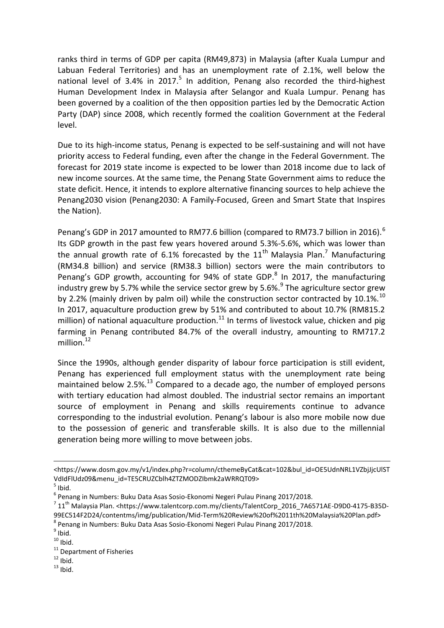ranks third in terms of GDP per capita (RM49,873) in Malaysia (after Kuala Lumpur and Labuan Federal Territories) and has an unemployment rate of 2.1%, well below the national level of 3.4% in 2017. $5$  In addition, Penang also recorded the third-highest Human Development Index in Malaysia after Selangor and Kuala Lumpur. Penang has been governed by a coalition of the then opposition parties led by the Democratic Action Party (DAP) since 2008, which recently formed the coalition Government at the Federal level.

Due to its high-income status, Penang is expected to be self-sustaining and will not have priority access to Federal funding, even after the change in the Federal Government. The forecast for 2019 state income is expected to be lower than 2018 income due to lack of new income sources. At the same time, the Penang State Government aims to reduce the state deficit. Hence, it intends to explore alternative financing sources to help achieve the Penang2030 vision (Penang2030: A Family-Focused, Green and Smart State that Inspires the Nation).

Penang's GDP in 2017 amounted to RM77.6 billion (compared to RM73.7 billion in 2016).<sup>6</sup> Its GDP growth in the past few years hovered around 5.3%-5.6%, which was lower than the annual growth rate of 6.1% forecasted by the  $11<sup>th</sup>$  Malaysia Plan.<sup>7</sup> Manufacturing (RM34.8 billion) and service (RM38.3 billion) sectors were the main contributors to Penang's GDP growth, accounting for 94% of state GDP.<sup>8</sup> In 2017, the manufacturing industry grew by 5.7% while the service sector grew by 5.6%.<sup>9</sup> The agriculture sector grew by 2.2% (mainly driven by palm oil) while the construction sector contracted by 10.1%.<sup>10</sup> In 2017, aquaculture production grew by 51% and contributed to about 10.7% (RM815.2 million) of national aquaculture production.<sup>11</sup> In terms of livestock value, chicken and pig farming in Penang contributed 84.7% of the overall industry, amounting to RM717.2 million. $12$ 

Since the 1990s, although gender disparity of labour force participation is still evident, Penang has experienced full employment status with the unemployment rate being maintained below 2.5%.<sup>13</sup> Compared to a decade ago, the number of employed persons with tertiary education had almost doubled. The industrial sector remains an important source of employment in Penang and skills requirements continue to advance corresponding to the industrial evolution. Penang's labour is also more mobile now due to the possession of generic and transferable skills. It is also due to the millennial generation being more willing to move between jobs.

1

- <sup>11</sup> Department of Fisheries
- $12$  Ibid.
- $13$  Ibid.

<sup>&</sup>lt;https://www.dosm.gov.my/v1/index.php?r=column/cthemeByCat&cat=102&bul\_id=OE5UdnNRL1VZbjJjcUlST VdIdFlUdz09&menu\_id=TE5CRUZCblh4ZTZMODZIbmk2aWRRQT09>

 $<sup>5</sup>$  Ibid.</sup>

<sup>6</sup> Penang in Numbers: Buku Data Asas Sosio-Ekonomi Negeri Pulau Pinang 2017/2018.

 $^7$  11<sup>th</sup> Malaysia Plan. <https://www.talentcorp.com.my/clients/TalentCorp\_2016\_7A6571AE-D9D0-4175-B35D-99EC514F2D24/contentms/img/publication/Mid-Term%20Review%20of%2011th%20Malaysia%20Plan.pdf> 8 Penang in Numbers: Buku Data Asas Sosio-Ekonomi Negeri Pulau Pinang 2017/2018.

 $<sup>9</sup>$  Ibid.</sup>

 $10$  Ibid.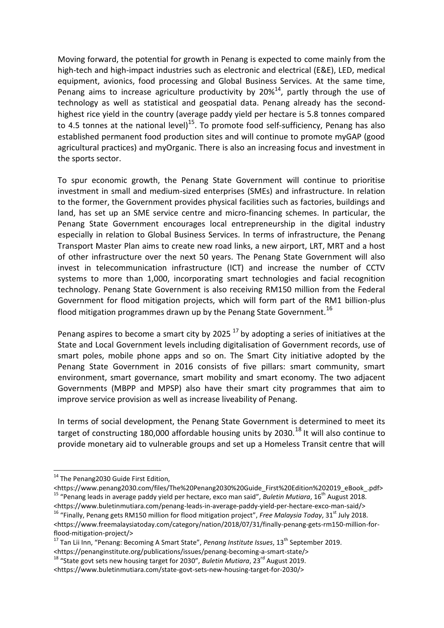Moving forward, the potential for growth in Penang is expected to come mainly from the high-tech and high-impact industries such as electronic and electrical (E&E), LED, medical equipment, avionics, food processing and Global Business Services. At the same time, Penang aims to increase agriculture productivity by  $20\%^{14}$ , partly through the use of technology as well as statistical and geospatial data. Penang already has the secondhighest rice yield in the country (average paddy yield per hectare is 5.8 tonnes compared to 4.5 tonnes at the national level)<sup>15</sup>. To promote food self-sufficiency, Penang has also established permanent food production sites and will continue to promote myGAP (good agricultural practices) and myOrganic. There is also an increasing focus and investment in the sports sector.

To spur economic growth, the Penang State Government will continue to prioritise investment in small and medium-sized enterprises (SMEs) and infrastructure. In relation to the former, the Government provides physical facilities such as factories, buildings and land, has set up an SME service centre and micro-financing schemes. In particular, the Penang State Government encourages local entrepreneurship in the digital industry especially in relation to Global Business Services. In terms of infrastructure, the Penang Transport Master Plan aims to create new road links, a new airport, LRT, MRT and a host of other infrastructure over the next 50 years. The Penang State Government will also invest in telecommunication infrastructure (ICT) and increase the number of CCTV systems to more than 1,000, incorporating smart technologies and facial recognition technology. Penang State Government is also receiving RM150 million from the Federal Government for flood mitigation projects, which will form part of the RM1 billion-plus flood mitigation programmes drawn up by the Penang State Government.  $^{16}$ 

Penang aspires to become a smart city by 2025  $^{17}$  by adopting a series of initiatives at the State and Local Government levels including digitalisation of Government records, use of smart poles, mobile phone apps and so on. The Smart City initiative adopted by the Penang State Government in 2016 consists of five pillars: smart community, smart environment, smart governance, smart mobility and smart economy. The two adjacent Governments (MBPP and MPSP) also have their smart city programmes that aim to improve service provision as well as increase liveability of Penang.

In terms of social development, the Penang State Government is determined to meet its target of constructing 180,000 affordable housing units by 2030.<sup>18</sup> It will also continue to provide monetary aid to vulnerable groups and set up a Homeless Transit centre that will

**.** 

<sup>&</sup>lt;sup>14</sup> The Penang2030 Guide First Edition,

<sup>&</sup>lt;https://www.penang2030.com/files/The%20Penang2030%20Guide\_First%20Edition%202019\_eBook\_.pdf> <sup>15</sup> "Penang leads in average paddy yield per hectare, exco man said", *Buletin Mutiara*, 16th August 2018. <https://www.buletinmutiara.com/penang-leads-in-average-paddy-yield-per-hectare-exco-man-said/>

<sup>16</sup> "Finally, Penang gets RM150 million for flood mitigation project", *Free Malaysia Today*, 31st July 2018. <https://www.freemalaysiatoday.com/category/nation/2018/07/31/finally-penang-gets-rm150-million-forflood-mitigation-project/>

<sup>&</sup>lt;sup>17</sup> Tan Lii Inn, "Penang: Becoming A Smart State", *Penang Institute Issues*, 13<sup>th</sup> September 2019. <https://penanginstitute.org/publications/issues/penang-becoming-a-smart-state/>

<sup>&</sup>lt;sup>18</sup> "State govt sets new housing target for 2030", *Buletin Mutiara*, 23<sup>rd</sup> August 2019.

<sup>&</sup>lt;https://www.buletinmutiara.com/state-govt-sets-new-housing-target-for-2030/>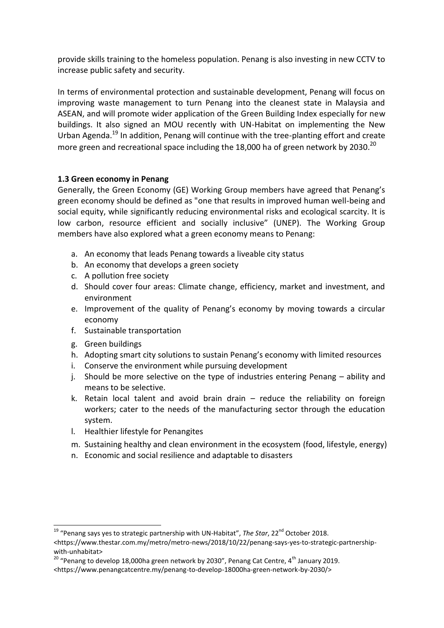provide skills training to the homeless population. Penang is also investing in new CCTV to increase public safety and security.

In terms of environmental protection and sustainable development, Penang will focus on improving waste management to turn Penang into the cleanest state in Malaysia and ASEAN, and will promote wider application of the Green Building Index especially for new buildings. It also signed an MOU recently with UN-Habitat on implementing the New Urban Agenda.<sup>19</sup> In addition, Penang will continue with the tree-planting effort and create more green and recreational space including the 18,000 ha of green network by 2030.<sup>20</sup>

#### **1.3 Green economy in Penang**

Generally, the Green Economy (GE) Working Group members have agreed that Penang's green economy should be defined as "one that results in improved human well-being and social equity, while significantly reducing environmental risks and ecological scarcity. It is low carbon, resource efficient and socially inclusive" (UNEP). The Working Group members have also explored what a green economy means to Penang:

- a. An economy that leads Penang towards a liveable city status
- b. An economy that develops a green society
- c. A pollution free society
- d. Should cover four areas: Climate change, efficiency, market and investment, and environment
- e. Improvement of the quality of Penang's economy by moving towards a circular economy
- f. Sustainable transportation
- g. Green buildings
- h. Adopting smart city solutions to sustain Penang's economy with limited resources
- i. Conserve the environment while pursuing development
- j. Should be more selective on the type of industries entering Penang ability and means to be selective.
- k. Retain local talent and avoid brain drain reduce the reliability on foreign workers; cater to the needs of the manufacturing sector through the education system.
- l. Healthier lifestyle for Penangites
- m. Sustaining healthy and clean environment in the ecosystem (food, lifestyle, energy)
- n. Economic and social resilience and adaptable to disasters

**<sup>.</sup>** <sup>19</sup> "Penang says yes to strategic partnership with UN-Habitat", *The Star*, 22<sup>nd</sup> October 2018.

<sup>&</sup>lt;https://www.thestar.com.my/metro/metro-news/2018/10/22/penang-says-yes-to-strategic-partnershipwith-unhabitat>

 $20$  "Penang to develop 18,000ha green network by 2030", Penang Cat Centre, 4<sup>th</sup> January 2019.

<sup>&</sup>lt;https://www.penangcatcentre.my/penang-to-develop-18000ha-green-network-by-2030/>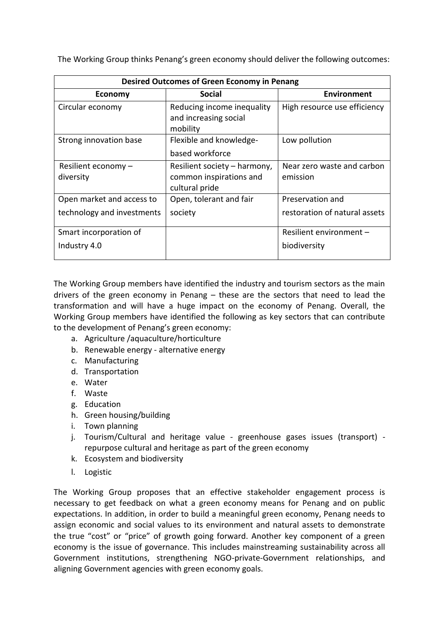The Working Group thinks Penang's green economy should deliver the following outcomes:

| Desired Outcomes of Green Economy in Penang |                                                                           |                                        |
|---------------------------------------------|---------------------------------------------------------------------------|----------------------------------------|
| <b>Economy</b>                              | <b>Social</b>                                                             | <b>Environment</b>                     |
| Circular economy                            | Reducing income inequality<br>and increasing social<br>mobility           | High resource use efficiency           |
| Strong innovation base                      | Flexible and knowledge-<br>based workforce                                | Low pollution                          |
| Resilient economy $-$<br>diversity          | Resilient society - harmony,<br>common inspirations and<br>cultural pride | Near zero waste and carbon<br>emission |
| Open market and access to                   | Open, tolerant and fair                                                   | Preservation and                       |
| technology and investments                  | society                                                                   | restoration of natural assets          |
| Smart incorporation of                      |                                                                           | Resilient environment -                |
| Industry 4.0                                |                                                                           | biodiversity                           |

The Working Group members have identified the industry and tourism sectors as the main drivers of the green economy in Penang – these are the sectors that need to lead the transformation and will have a huge impact on the economy of Penang. Overall, the Working Group members have identified the following as key sectors that can contribute to the development of Penang's green economy:

- a. Agriculture /aquaculture/horticulture
- b. Renewable energy alternative energy
- c. Manufacturing
- d. Transportation
- e. Water
- f. Waste
- g. Education
- h. Green housing/building
- i. Town planning
- j. Tourism/Cultural and heritage value greenhouse gases issues (transport) repurpose cultural and heritage as part of the green economy
- k. Ecosystem and biodiversity
- l. Logistic

The Working Group proposes that an effective stakeholder engagement process is necessary to get feedback on what a green economy means for Penang and on public expectations. In addition, in order to build a meaningful green economy, Penang needs to assign economic and social values to its environment and natural assets to demonstrate the true "cost" or "price" of growth going forward. Another key component of a green economy is the issue of governance. This includes mainstreaming sustainability across all Government institutions, strengthening NGO-private-Government relationships, and aligning Government agencies with green economy goals.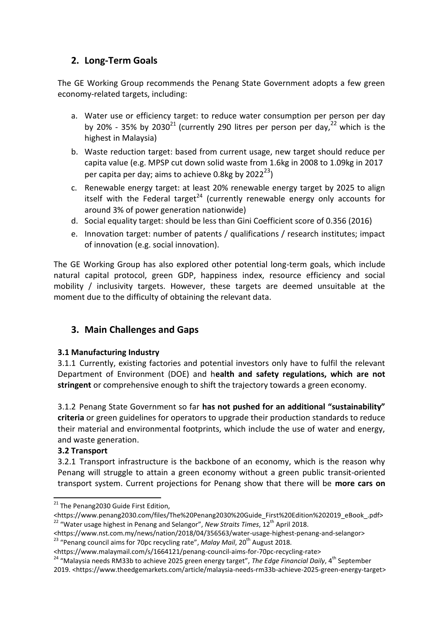# **2. Long-Term Goals**

The GE Working Group recommends the Penang State Government adopts a few green economy-related targets, including:

- a. Water use or efficiency target: to reduce water consumption per person per day by 20% - 35% by 2030<sup>21</sup> (currently 290 litres per person per day.<sup>22</sup> which is the highest in Malaysia)
- b. Waste reduction target: based from current usage, new target should reduce per capita value (e.g. MPSP cut down solid waste from 1.6kg in 2008 to 1.09kg in 2017 per capita per day; aims to achieve 0.8kg by  $2022^{23}$ )
- c. Renewable energy target: at least 20% renewable energy target by 2025 to align itself with the Federal target<sup>24</sup> (currently renewable energy only accounts for around 3% of power generation nationwide)
- d. Social equality target: should be less than Gini Coefficient score of 0.356 (2016)
- e. Innovation target: number of patents / qualifications / research institutes; impact of innovation (e.g. social innovation).

The GE Working Group has also explored other potential long-term goals, which include natural capital protocol, green GDP, happiness index, resource efficiency and social mobility / inclusivity targets. However, these targets are deemed unsuitable at the moment due to the difficulty of obtaining the relevant data.

# **3. Main Challenges and Gaps**

#### **3.1 Manufacturing Industry**

3.1.1 Currently, existing factories and potential investors only have to fulfil the relevant Department of Environment (DOE) and h**ealth and safety regulations, which are not stringent** or comprehensive enough to shift the trajectory towards a green economy.

3.1.2 Penang State Government so far **has not pushed for an additional "sustainability" criteria** or green guidelines for operators to upgrade their production standards to reduce their material and environmental footprints, which include the use of water and energy, and waste generation.

#### **3.2 Transport**

1

3.2.1 Transport infrastructure is the backbone of an economy, which is the reason why Penang will struggle to attain a green economy without a green public transit-oriented transport system. Current projections for Penang show that there will be **more cars on** 

<sup>&</sup>lt;sup>21</sup> The Penang2030 Guide First Edition,

<sup>&</sup>lt;https://www.penang2030.com/files/The%20Penang2030%20Guide\_First%20Edition%202019\_eBook\_.pdf> <sup>22</sup> "Water usage highest in Penang and Selangor", New Straits Times, 12<sup>th</sup> April 2018.

<sup>&</sup>lt;https://www.nst.com.my/news/nation/2018/04/356563/water-usage-highest-penang-and-selangor> <sup>23</sup> "Penang council aims for 70pc recycling rate", *Malay Mail*, 20<sup>th</sup> August 2018.

<sup>&</sup>lt;https://www.malaymail.com/s/1664121/penang-council-aims-for-70pc-recycling-rate>

<sup>&</sup>lt;sup>24</sup> "Malaysia needs RM33b to achieve 2025 green energy target", *The Edge Financial Daily*, 4<sup>th</sup> September 2019. <https://www.theedgemarkets.com/article/malaysia-needs-rm33b-achieve-2025-green-energy-target>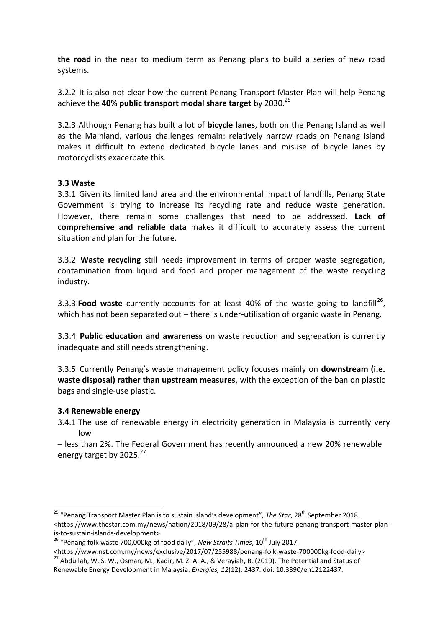**the road** in the near to medium term as Penang plans to build a series of new road systems.

3.2.2 It is also not clear how the current Penang Transport Master Plan will help Penang achieve the **40% public transport modal share target** by 2030.<sup>25</sup>

3.2.3 Although Penang has built a lot of **bicycle lanes**, both on the Penang Island as well as the Mainland, various challenges remain: relatively narrow roads on Penang island makes it difficult to extend dedicated bicycle lanes and misuse of bicycle lanes by motorcyclists exacerbate this.

#### **3.3 Waste**

3.3.1 Given its limited land area and the environmental impact of landfills, Penang State Government is trying to increase its recycling rate and reduce waste generation. However, there remain some challenges that need to be addressed. **Lack of comprehensive and reliable data** makes it difficult to accurately assess the current situation and plan for the future.

3.3.2 **Waste recycling** still needs improvement in terms of proper waste segregation, contamination from liquid and food and proper management of the waste recycling industry.

3.3.3 **Food waste** currently accounts for at least 40% of the waste going to landfill<sup>26</sup>, which has not been separated out – there is under-utilisation of organic waste in Penang.

3.3.4 **Public education and awareness** on waste reduction and segregation is currently inadequate and still needs strengthening.

3.3.5 Currently Penang's waste management policy focuses mainly on **downstream (i.e. waste disposal) rather than upstream measures**, with the exception of the ban on plastic bags and single-use plastic.

#### **3.4 Renewable energy**

1

3.4.1 The use of renewable energy in electricity generation in Malaysia is currently very low

– less than 2%. The Federal Government has recently announced a new 20% renewable energy target by 2025.<sup>27</sup>

<sup>&</sup>lt;sup>25</sup> "Penang Transport Master Plan is to sustain island's development", *The Star*, 28<sup>th</sup> September 2018. <https://www.thestar.com.my/news/nation/2018/09/28/a-plan-for-the-future-penang-transport-master-planis-to-sustain-islands-development>

<sup>&</sup>lt;sup>26</sup> "Penang folk waste 700,000kg of food daily", *New Straits Times*, 10<sup>th</sup> July 2017.

<sup>&</sup>lt;https://www.nst.com.my/news/exclusive/2017/07/255988/penang-folk-waste-700000kg-food-daily> <sup>27</sup> Abdullah, W. S. W., Osman, M., Kadir, M. Z. A. A., & Verayiah, R. (2019). The Potential and Status of Renewable Energy Development in Malaysia. *Energies, 12*(12), 2437. doi: 10.3390/en12122437.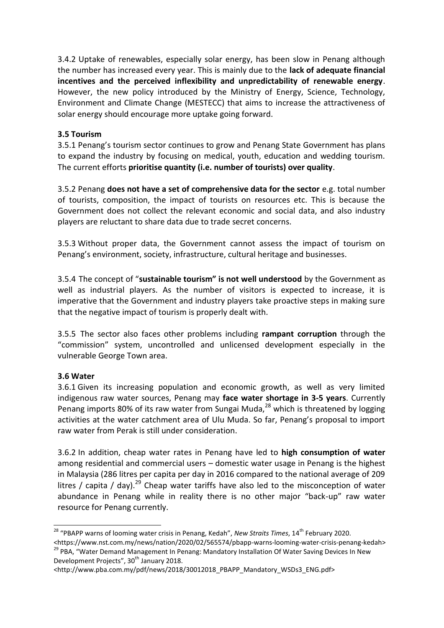3.4.2 Uptake of renewables, especially solar energy, has been slow in Penang although the number has increased every year. This is mainly due to the **lack of adequate financial incentives and the perceived inflexibility and unpredictability of renewable energy**. However, the new policy introduced by the Ministry of Energy, Science, Technology, Environment and Climate Change (MESTECC) that aims to increase the attractiveness of solar energy should encourage more uptake going forward.

#### **3.5 Tourism**

3.5.1 Penang's tourism sector continues to grow and Penang State Government has plans to expand the industry by focusing on medical, youth, education and wedding tourism. The current efforts **prioritise quantity (i.e. number of tourists) over quality**.

3.5.2 Penang **does not have a set of comprehensive data for the sector** e.g. total number of tourists, composition, the impact of tourists on resources etc. This is because the Government does not collect the relevant economic and social data, and also industry players are reluctant to share data due to trade secret concerns.

3.5.3 Without proper data, the Government cannot assess the impact of tourism on Penang's environment, society, infrastructure, cultural heritage and businesses.

3.5.4 The concept of "**sustainable tourism" is not well understood** by the Government as well as industrial players. As the number of visitors is expected to increase, it is imperative that the Government and industry players take proactive steps in making sure that the negative impact of tourism is properly dealt with.

3.5.5 The sector also faces other problems including **rampant corruption** through the "commission" system, uncontrolled and unlicensed development especially in the vulnerable George Town area.

#### **3.6 Water**

3.6.1 Given its increasing population and economic growth, as well as very limited indigenous raw water sources, Penang may **face water shortage in 3-5 years**. Currently Penang imports 80% of its raw water from Sungai Muda, $^{28}$  which is threatened by logging activities at the water catchment area of Ulu Muda. So far, Penang's proposal to import raw water from Perak is still under consideration.

3.6.2 In addition, cheap water rates in Penang have led to **high consumption of water**  among residential and commercial users – domestic water usage in Penang is the highest in Malaysia (286 litres per capita per day in 2016 compared to the national average of 209 litres / capita / day).<sup>29</sup> Cheap water tariffs have also led to the misconception of water abundance in Penang while in reality there is no other major "back-up" raw water resource for Penang currently.

**<sup>.</sup>** <sup>28</sup> "PBAPP warns of looming water crisis in Penang, Kedah", *New Straits Times*, 14<sup>th</sup> February 2020.

<sup>&</sup>lt;https://www.nst.com.my/news/nation/2020/02/565574/pbapp-warns-looming-water-crisis-penang-kedah> <sup>29</sup> PBA, "Water Demand Management In Penang: Mandatory Installation Of Water Saving Devices In New Development Projects", 30<sup>th</sup> January 2018.

<sup>&</sup>lt;http://www.pba.com.my/pdf/news/2018/30012018\_PBAPP\_Mandatory\_WSDs3\_ENG.pdf>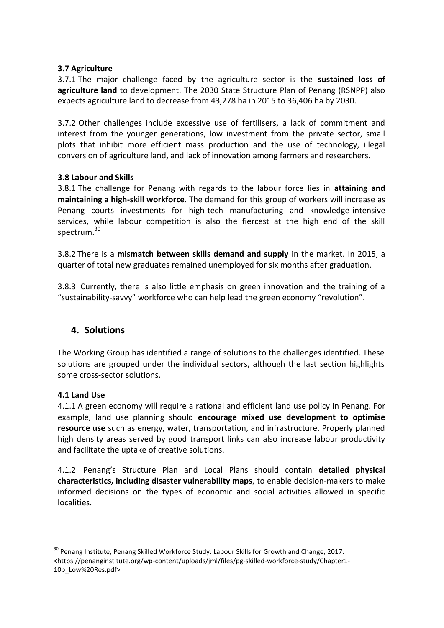#### **3.7 Agriculture**

3.7.1 The major challenge faced by the agriculture sector is the **sustained loss of agriculture land** to development. The 2030 State Structure Plan of Penang (RSNPP) also expects agriculture land to decrease from 43,278 ha in 2015 to 36,406 ha by 2030.

3.7.2 Other challenges include excessive use of fertilisers, a lack of commitment and interest from the younger generations, low investment from the private sector, small plots that inhibit more efficient mass production and the use of technology, illegal conversion of agriculture land, and lack of innovation among farmers and researchers.

#### **3.8 Labour and Skills**

3.8.1 The challenge for Penang with regards to the labour force lies in **attaining and maintaining a high-skill workforce**. The demand for this group of workers will increase as Penang courts investments for high-tech manufacturing and knowledge-intensive services, while labour competition is also the fiercest at the high end of the skill spectrum.<sup>30</sup>

3.8.2 There is a **mismatch between skills demand and supply** in the market. In 2015, a quarter of total new graduates remained unemployed for six months after graduation.

3.8.3 Currently, there is also little emphasis on green innovation and the training of a "sustainability-savvy" workforce who can help lead the green economy "revolution".

#### **4. Solutions**

The Working Group has identified a range of solutions to the challenges identified. These solutions are grouped under the individual sectors, although the last section highlights some cross-sector solutions.

#### **4.1 Land Use**

1

4.1.1 A green economy will require a rational and efficient land use policy in Penang. For example, land use planning should **encourage mixed use development to optimise resource use** such as energy, water, transportation, and infrastructure. Properly planned high density areas served by good transport links can also increase labour productivity and facilitate the uptake of creative solutions.

4.1.2 Penang's Structure Plan and Local Plans should contain **detailed physical characteristics, including disaster vulnerability maps**, to enable decision-makers to make informed decisions on the types of economic and social activities allowed in specific localities.

<sup>&</sup>lt;sup>30</sup> Penang Institute, Penang Skilled Workforce Study: Labour Skills for Growth and Change, 2017. <https://penanginstitute.org/wp-content/uploads/jml/files/pg-skilled-workforce-study/Chapter1- 10b\_Low%20Res.pdf>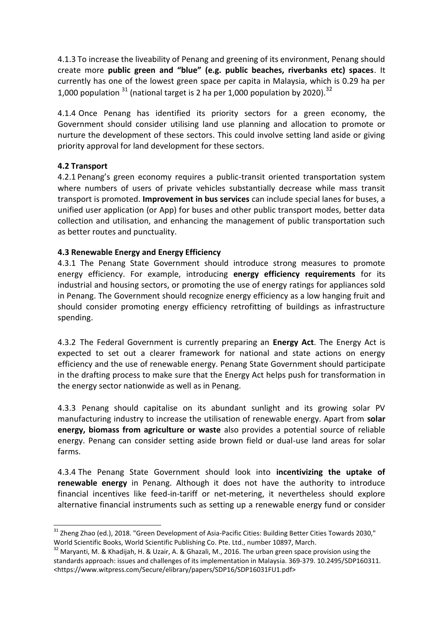4.1.3 To increase the liveability of Penang and greening of its environment, Penang should create more **public green and "blue" (e.g. public beaches, riverbanks etc) spaces**. It currently has one of the lowest green space per capita in Malaysia, which is 0.29 ha per 1,000 population  $31$  (national target is 2 ha per 1,000 population by 2020).  $32$ 

4.1.4 Once Penang has identified its priority sectors for a green economy, the Government should consider utilising land use planning and allocation to promote or nurture the development of these sectors. This could involve setting land aside or giving priority approval for land development for these sectors.

#### **4.2 Transport**

**.** 

4.2.1 Penang's green economy requires a public-transit oriented transportation system where numbers of users of private vehicles substantially decrease while mass transit transport is promoted. **Improvement in bus services** can include special lanes for buses, a unified user application (or App) for buses and other public transport modes, better data collection and utilisation, and enhancing the management of public transportation such as better routes and punctuality.

#### **4.3 Renewable Energy and Energy Efficiency**

4.3.1 The Penang State Government should introduce strong measures to promote energy efficiency. For example, introducing **energy efficiency requirements** for its industrial and housing sectors, or promoting the use of energy ratings for appliances sold in Penang. The Government should recognize energy efficiency as a low hanging fruit and should consider promoting energy efficiency retrofitting of buildings as infrastructure spending.

4.3.2 The Federal Government is currently preparing an **Energy Act**. The Energy Act is expected to set out a clearer framework for national and state actions on energy efficiency and the use of renewable energy. Penang State Government should participate in the drafting process to make sure that the Energy Act helps push for transformation in the energy sector nationwide as well as in Penang.

4.3.3 Penang should capitalise on its abundant sunlight and its growing solar PV manufacturing industry to increase the utilisation of renewable energy. Apart from **solar energy, biomass from agriculture or waste** also provides a potential source of reliable energy. Penang can consider setting aside brown field or dual-use land areas for solar farms.

4.3.4 The Penang State Government should look into **incentivizing the uptake of renewable energy** in Penang. Although it does not have the authority to introduce financial incentives like feed-in-tariff or net-metering, it nevertheless should explore alternative financial instruments such as setting up a renewable energy fund or consider

<sup>&</sup>lt;sup>31</sup> Zheng Zhao (ed.), 2018. "Green Development of Asia-Pacific Cities: Building Better Cities Towards 2030," World Scientific Books, World Scientific Publishing Co. Pte. Ltd., number 10897, March.

<sup>&</sup>lt;sup>32</sup> Maryanti, M. & Khadijah, H. & Uzair, A. & Ghazali, M., 2016. The urban green space provision using the standards approach: issues and challenges of its implementation in Malaysia. 369-379. 10.2495/SDP160311. <https://www.witpress.com/Secure/elibrary/papers/SDP16/SDP16031FU1.pdf>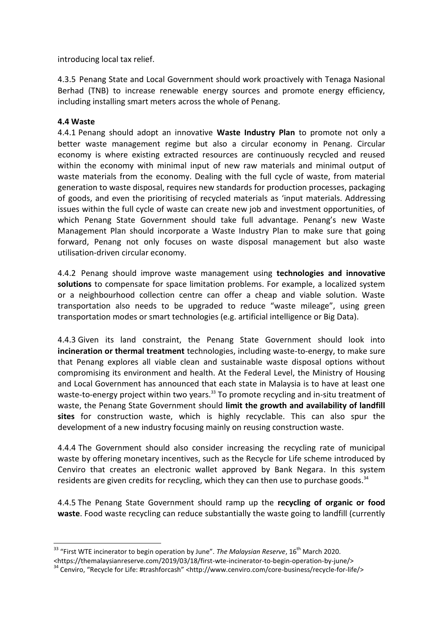introducing local tax relief.

4.3.5 Penang State and Local Government should work proactively with Tenaga Nasional Berhad (TNB) to increase renewable energy sources and promote energy efficiency, including installing smart meters across the whole of Penang.

#### **4.4 Waste**

1

4.4.1 Penang should adopt an innovative **Waste Industry Plan** to promote not only a better waste management regime but also a circular economy in Penang. Circular economy is where existing extracted resources are continuously recycled and reused within the economy with minimal input of new raw materials and minimal output of waste materials from the economy. Dealing with the full cycle of waste, from material generation to waste disposal, requires new standards for production processes, packaging of goods, and even the prioritising of recycled materials as 'input materials. Addressing issues within the full cycle of waste can create new job and investment opportunities, of which Penang State Government should take full advantage. Penang's new Waste Management Plan should incorporate a Waste Industry Plan to make sure that going forward, Penang not only focuses on waste disposal management but also waste utilisation-driven circular economy.

4.4.2 Penang should improve waste management using **technologies and innovative solutions** to compensate for space limitation problems. For example, a localized system or a neighbourhood collection centre can offer a cheap and viable solution. Waste transportation also needs to be upgraded to reduce "waste mileage", using green transportation modes or smart technologies (e.g. artificial intelligence or Big Data).

4.4.3 Given its land constraint, the Penang State Government should look into **incineration or thermal treatment** technologies, including waste-to-energy, to make sure that Penang explores all viable clean and sustainable waste disposal options without compromising its environment and health. At the Federal Level, the Ministry of Housing and Local Government has announced that each state in Malaysia is to have at least one waste-to-energy project within two years.<sup>33</sup> To promote recycling and in-situ treatment of waste, the Penang State Government should **limit the growth and availability of landfill sites** for construction waste, which is highly recyclable. This can also spur the development of a new industry focusing mainly on reusing construction waste.

4.4.4 The Government should also consider increasing the recycling rate of municipal waste by offering monetary incentives, such as the Recycle for Life scheme introduced by Cenviro that creates an electronic wallet approved by Bank Negara. In this system residents are given credits for recycling, which they can then use to purchase goods. $34$ 

4.4.5 The Penang State Government should ramp up the **recycling of organic or food waste**. Food waste recycling can reduce substantially the waste going to landfill (currently

<sup>&</sup>lt;sup>33</sup> "First WTE incinerator to begin operation by June". *The Malaysian Reserve*, 16<sup>th</sup> March 2020.

<sup>&</sup>lt;https://themalaysianreserve.com/2019/03/18/first-wte-incinerator-to-begin-operation-by-june/>

<sup>&</sup>lt;sup>34</sup> Cenviro, "Recycle for Life: #trashforcash" <http://www.cenviro.com/core-business/recycle-for-life/>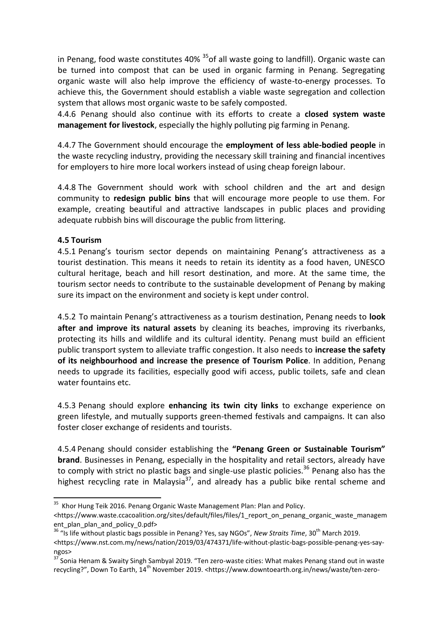in Penang, food waste constitutes 40%  $35$  of all waste going to landfill). Organic waste can be turned into compost that can be used in organic farming in Penang. Segregating organic waste will also help improve the efficiency of waste-to-energy processes. To achieve this, the Government should establish a viable waste segregation and collection system that allows most organic waste to be safely composted.

4.4.6 Penang should also continue with its efforts to create a **closed system waste management for livestock**, especially the highly polluting pig farming in Penang.

4.4.7 The Government should encourage the **employment of less able-bodied people** in the waste recycling industry, providing the necessary skill training and financial incentives for employers to hire more local workers instead of using cheap foreign labour.

4.4.8 The Government should work with school children and the art and design community to **redesign public bins** that will encourage more people to use them. For example, creating beautiful and attractive landscapes in public places and providing adequate rubbish bins will discourage the public from littering.

#### **4.5 Tourism**

4.5.1 Penang's tourism sector depends on maintaining Penang's attractiveness as a tourist destination. This means it needs to retain its identity as a food haven, UNESCO cultural heritage, beach and hill resort destination, and more. At the same time, the tourism sector needs to contribute to the sustainable development of Penang by making sure its impact on the environment and society is kept under control.

4.5.2 To maintain Penang's attractiveness as a tourism destination, Penang needs to **look after and improve its natural assets** by cleaning its beaches, improving its riverbanks, protecting its hills and wildlife and its cultural identity. Penang must build an efficient public transport system to alleviate traffic congestion. It also needs to **increase the safety of its neighbourhood and increase the presence of Tourism Police**. In addition, Penang needs to upgrade its facilities, especially good wifi access, public toilets, safe and clean water fountains etc.

4.5.3 Penang should explore **enhancing its twin city links** to exchange experience on green lifestyle, and mutually supports green-themed festivals and campaigns. It can also foster closer exchange of residents and tourists.

4.5.4 Penang should consider establishing the **"Penang Green or Sustainable Tourism" brand**. Businesses in Penang, especially in the hospitality and retail sectors, already have to comply with strict no plastic bags and single-use plastic policies.<sup>36</sup> Penang also has the highest recycling rate in Malaysia<sup>37</sup>, and already has a public bike rental scheme and

 35 Khor Hung Teik 2016. Penang Organic Waste Management Plan: Plan and Policy.

<sup>&</sup>lt;https://www.waste.ccacoalition.org/sites/default/files/files/1\_report\_on\_penang\_organic\_waste\_managem ent\_plan\_plan\_and\_policy\_0.pdf>

<sup>&</sup>lt;sup>36</sup> "Is life without plastic bags possible in Penang? Yes, say NGOs", *New Straits Time*, 30<sup>th</sup> March 2019. <https://www.nst.com.my/news/nation/2019/03/474371/life-without-plastic-bags-possible-penang-yes-sayngos>

<sup>37</sup> Sonia Henam & Swaity Singh Sambyal 2019. "Ten zero-waste cities: What makes Penang stand out in waste recycling?", Down To Earth, 14<sup>th</sup> November 2019. <https://www.downtoearth.org.in/news/waste/ten-zero-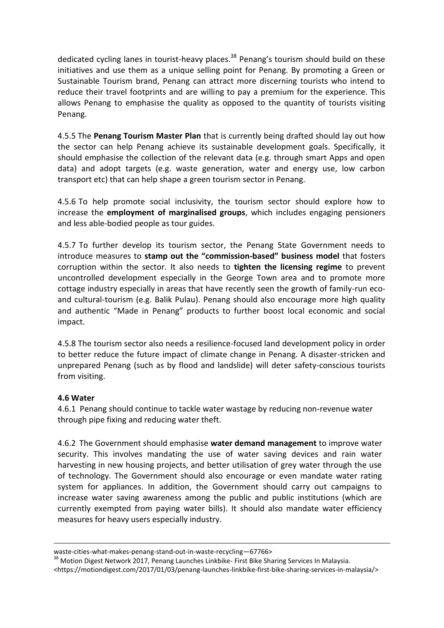dedicated cycling lanes in tourist-heavy places.<sup>38</sup> Penang's tourism should build on these initiatives and use them as a unique selling point for Penang. By promoting a Green or Sustainable Tourism brand, Penang can attract more discerning tourists who intend to reduce their travel footprints and are willing to pay a premium for the experience. This allows Penang to emphasise the quality as opposed to the quantity of tourists visiting Penang.

4.5.5 The **Penang Tourism Master Plan** that is currently being drafted should lay out how the sector can help Penang achieve its sustainable development goals. Specifically, it should emphasise the collection of the relevant data (e.g. through smart Apps and open data) and adopt targets (e.g. waste generation, water and energy use, low carbon transport etc) that can help shape a green tourism sector in Penang.

4.5.6 To help promote social inclusivity, the tourism sector should explore how to increase the **employment of marginalised groups**, which includes engaging pensioners and less able-bodied people as tour guides.

4.5.7 To further develop its tourism sector, the Penang State Government needs to introduce measures to **stamp out the "commission-based" business model** that fosters corruption within the sector. It also needs to **tighten the licensing regime** to prevent uncontrolled development especially in the George Town area and to promote more cottage industry especially in areas that have recently seen the growth of family-run ecoand cultural-tourism (e.g. Balik Pulau). Penang should also encourage more high quality and authentic "Made in Penang" products to further boost local economic and social impact.

4.5.8 The tourism sector also needs a resilience-focused land development policy in order to better reduce the future impact of climate change in Penang. A disaster-stricken and unprepared Penang (such as by flood and landslide) will deter safety-conscious tourists from visiting.

#### **4.6 Water**

1

4.6.1 Penang should continue to tackle water wastage by reducing non-revenue water through pipe fixing and reducing water theft.

4.6.2 The Government should emphasise **water demand management** to improve water security. This involves mandating the use of water saving devices and rain water harvesting in new housing projects, and better utilisation of grey water through the use of technology. The Government should also encourage or even mandate water rating system for appliances. In addition, the Government should carry out campaigns to increase water saving awareness among the public and public institutions (which are currently exempted from paying water bills). It should also mandate water efficiency measures for heavy users especially industry.

<https://motiondigest.com/2017/01/03/penang-launches-linkbike-first-bike-sharing-services-in-malaysia/>

waste-cities-what-makes-penang-stand-out-in-waste-recycling—67766>

<sup>&</sup>lt;sup>38</sup> Motion Digest Network 2017, Penang Launches Linkbike- First Bike Sharing Services In Malaysia.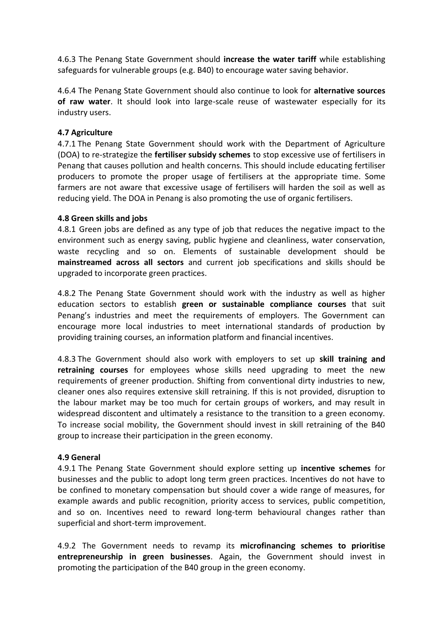4.6.3 The Penang State Government should **increase the water tariff** while establishing safeguards for vulnerable groups (e.g. B40) to encourage water saving behavior.

4.6.4 The Penang State Government should also continue to look for **alternative sources of raw water**. It should look into large-scale reuse of wastewater especially for its industry users.

#### **4.7 Agriculture**

4.7.1 The Penang State Government should work with the Department of Agriculture (DOA) to re-strategize the **fertiliser subsidy schemes** to stop excessive use of fertilisers in Penang that causes pollution and health concerns. This should include educating fertiliser producers to promote the proper usage of fertilisers at the appropriate time. Some farmers are not aware that excessive usage of fertilisers will harden the soil as well as reducing yield. The DOA in Penang is also promoting the use of organic fertilisers.

#### **4.8 Green skills and jobs**

4.8.1 Green jobs are defined as any type of job that reduces the negative impact to the environment such as energy saving, public hygiene and cleanliness, water conservation, waste recycling and so on. Elements of sustainable development should be **mainstreamed across all sectors** and current job specifications and skills should be upgraded to incorporate green practices.

4.8.2 The Penang State Government should work with the industry as well as higher education sectors to establish **green or sustainable compliance courses** that suit Penang's industries and meet the requirements of employers. The Government can encourage more local industries to meet international standards of production by providing training courses, an information platform and financial incentives.

4.8.3 The Government should also work with employers to set up **skill training and retraining courses** for employees whose skills need upgrading to meet the new requirements of greener production. Shifting from conventional dirty industries to new, cleaner ones also requires extensive skill retraining. If this is not provided, disruption to the labour market may be too much for certain groups of workers, and may result in widespread discontent and ultimately a resistance to the transition to a green economy. To increase social mobility, the Government should invest in skill retraining of the B40 group to increase their participation in the green economy.

#### **4.9 General**

4.9.1 The Penang State Government should explore setting up **incentive schemes** for businesses and the public to adopt long term green practices. Incentives do not have to be confined to monetary compensation but should cover a wide range of measures, for example awards and public recognition, priority access to services, public competition, and so on. Incentives need to reward long-term behavioural changes rather than superficial and short-term improvement.

4.9.2 The Government needs to revamp its **microfinancing schemes to prioritise entrepreneurship in green businesses**. Again, the Government should invest in promoting the participation of the B40 group in the green economy.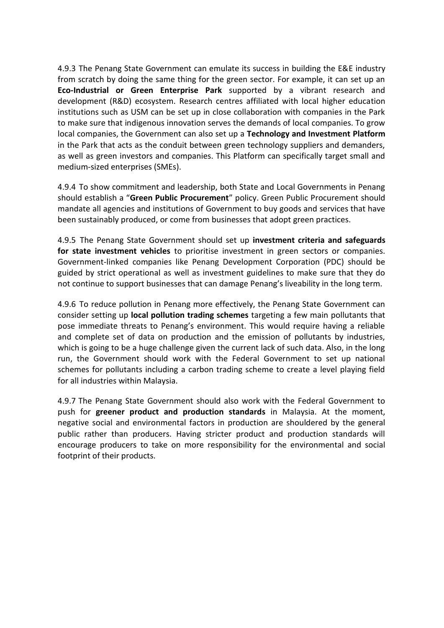4.9.3 The Penang State Government can emulate its success in building the E&E industry from scratch by doing the same thing for the green sector. For example, it can set up an **Eco-Industrial or Green Enterprise Park** supported by a vibrant research and development (R&D) ecosystem. Research centres affiliated with local higher education institutions such as USM can be set up in close collaboration with companies in the Park to make sure that indigenous innovation serves the demands of local companies. To grow local companies, the Government can also set up a **Technology and Investment Platform**  in the Park that acts as the conduit between green technology suppliers and demanders, as well as green investors and companies. This Platform can specifically target small and medium-sized enterprises (SMEs).

4.9.4 To show commitment and leadership, both State and Local Governments in Penang should establish a "**Green Public Procurement**" policy. Green Public Procurement should mandate all agencies and institutions of Government to buy goods and services that have been sustainably produced, or come from businesses that adopt green practices.

4.9.5 The Penang State Government should set up **investment criteria and safeguards for state investment vehicles** to prioritise investment in green sectors or companies. Government-linked companies like Penang Development Corporation (PDC) should be guided by strict operational as well as investment guidelines to make sure that they do not continue to support businesses that can damage Penang's liveability in the long term.

4.9.6 To reduce pollution in Penang more effectively, the Penang State Government can consider setting up **local pollution trading schemes** targeting a few main pollutants that pose immediate threats to Penang's environment. This would require having a reliable and complete set of data on production and the emission of pollutants by industries, which is going to be a huge challenge given the current lack of such data. Also, in the long run, the Government should work with the Federal Government to set up national schemes for pollutants including a carbon trading scheme to create a level playing field for all industries within Malaysia.

4.9.7 The Penang State Government should also work with the Federal Government to push for **greener product and production standards** in Malaysia. At the moment, negative social and environmental factors in production are shouldered by the general public rather than producers. Having stricter product and production standards will encourage producers to take on more responsibility for the environmental and social footprint of their products.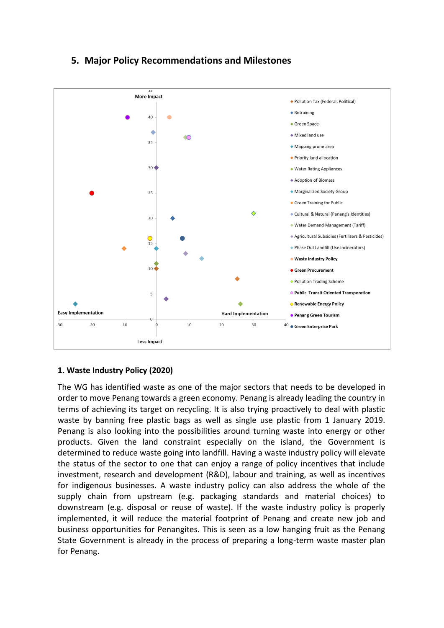

# **5. Major Policy Recommendations and Milestones**

#### **1. Waste Industry Policy (2020)**

The WG has identified waste as one of the major sectors that needs to be developed in order to move Penang towards a green economy. Penang is already leading the country in terms of achieving its target on recycling. It is also trying proactively to deal with plastic waste by banning free plastic bags as well as single use plastic from 1 January 2019. Penang is also looking into the possibilities around turning waste into energy or other products. Given the land constraint especially on the island, the Government is determined to reduce waste going into landfill. Having a waste industry policy will elevate the status of the sector to one that can enjoy a range of policy incentives that include investment, research and development (R&D), labour and training, as well as incentives for indigenous businesses. A waste industry policy can also address the whole of the supply chain from upstream (e.g. packaging standards and material choices) to downstream (e.g. disposal or reuse of waste). If the waste industry policy is properly implemented, it will reduce the material footprint of Penang and create new job and business opportunities for Penangites. This is seen as a low hanging fruit as the Penang State Government is already in the process of preparing a long-term waste master plan for Penang.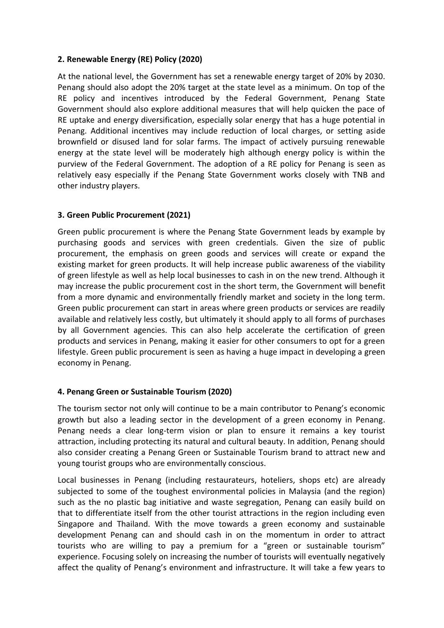#### **2. Renewable Energy (RE) Policy (2020)**

At the national level, the Government has set a renewable energy target of 20% by 2030. Penang should also adopt the 20% target at the state level as a minimum. On top of the RE policy and incentives introduced by the Federal Government, Penang State Government should also explore additional measures that will help quicken the pace of RE uptake and energy diversification, especially solar energy that has a huge potential in Penang. Additional incentives may include reduction of local charges, or setting aside brownfield or disused land for solar farms. The impact of actively pursuing renewable energy at the state level will be moderately high although energy policy is within the purview of the Federal Government. The adoption of a RE policy for Penang is seen as relatively easy especially if the Penang State Government works closely with TNB and other industry players.

#### **3. Green Public Procurement (2021)**

Green public procurement is where the Penang State Government leads by example by purchasing goods and services with green credentials. Given the size of public procurement, the emphasis on green goods and services will create or expand the existing market for green products. It will help increase public awareness of the viability of green lifestyle as well as help local businesses to cash in on the new trend. Although it may increase the public procurement cost in the short term, the Government will benefit from a more dynamic and environmentally friendly market and society in the long term. Green public procurement can start in areas where green products or services are readily available and relatively less costly, but ultimately it should apply to all forms of purchases by all Government agencies. This can also help accelerate the certification of green products and services in Penang, making it easier for other consumers to opt for a green lifestyle. Green public procurement is seen as having a huge impact in developing a green economy in Penang.

#### **4. Penang Green or Sustainable Tourism (2020)**

The tourism sector not only will continue to be a main contributor to Penang's economic growth but also a leading sector in the development of a green economy in Penang. Penang needs a clear long-term vision or plan to ensure it remains a key tourist attraction, including protecting its natural and cultural beauty. In addition, Penang should also consider creating a Penang Green or Sustainable Tourism brand to attract new and young tourist groups who are environmentally conscious.

Local businesses in Penang (including restaurateurs, hoteliers, shops etc) are already subjected to some of the toughest environmental policies in Malaysia (and the region) such as the no plastic bag initiative and waste segregation, Penang can easily build on that to differentiate itself from the other tourist attractions in the region including even Singapore and Thailand. With the move towards a green economy and sustainable development Penang can and should cash in on the momentum in order to attract tourists who are willing to pay a premium for a "green or sustainable tourism" experience. Focusing solely on increasing the number of tourists will eventually negatively affect the quality of Penang's environment and infrastructure. It will take a few years to